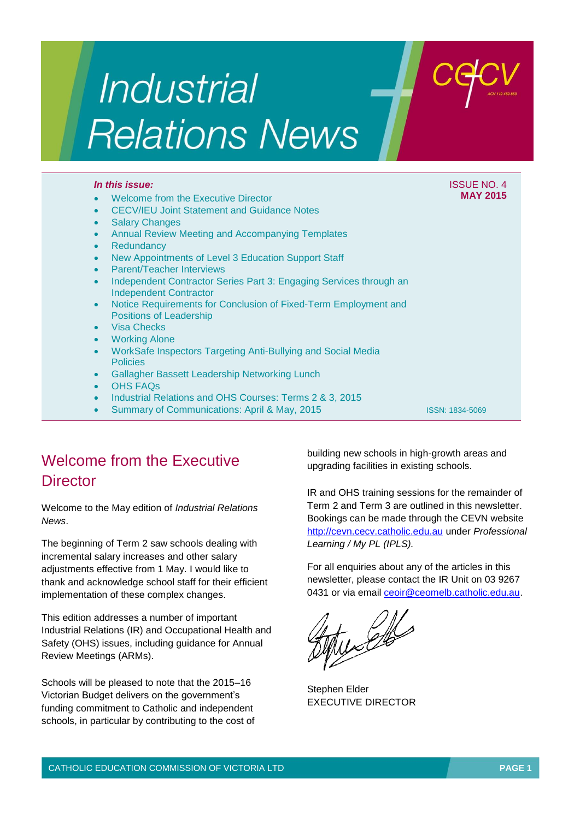# Industrial **Relations News**

#### *In this issue:* ISSUE NO. 4

#### Welcome from the Executive Director

- CECV/IEU Joint Statement and Guidance Notes
- Salary Changes
- Annual Review Meeting and Accompanying Templates
- **Redundancy**
- New Appointments of Level 3 Education Support Staff
- Parent/Teacher Interviews
- Independent Contractor Series Part 3: Engaging Services through an Independent Contractor
- Notice Requirements for Conclusion of Fixed-Term Employment and Positions of Leadership
- Visa Checks
- Working Alone
- WorkSafe Inspectors Targeting Anti-Bullying and Social Media **Policies**
- Gallagher Bassett Leadership Networking Lunch
- OHS FAQs
- Industrial Relations and OHS Courses: Terms 2 & 3, 2015
- Summary of Communications: April & May, 2015

ISSN: 1834-5069

**MAY 2015**

# Welcome from the Executive **Director**

Welcome to the May edition of *Industrial Relations News*.

The beginning of Term 2 saw schools dealing with incremental salary increases and other salary adjustments effective from 1 May. I would like to thank and acknowledge school staff for their efficient implementation of these complex changes.

This edition addresses a number of important Industrial Relations (IR) and Occupational Health and Safety (OHS) issues, including guidance for Annual Review Meetings (ARMs).

Schools will be pleased to note that the 2015–16 Victorian Budget delivers on the government's funding commitment to Catholic and independent schools, in particular by contributing to the cost of building new schools in high-growth areas and upgrading facilities in existing schools.

IR and OHS training sessions for the remainder of Term 2 and Term 3 are outlined in this newsletter. Bookings can be made through the CEVN website [http://cevn.cecv.catholic.edu.au](http://cevn.cecv.catholic.edu.au/) under *Professional Learning / My PL (IPLS).*

For all enquiries about any of the articles in this newsletter, please contact the IR Unit on 03 9267 0431 or via email [ceoir@ceomelb.catholic.edu.au.](mailto:ceoir@ceomelb.catholic.edu.au)

 $\mathbb{Z}$ 

Stephen Elder EXECUTIVE DIRECTOR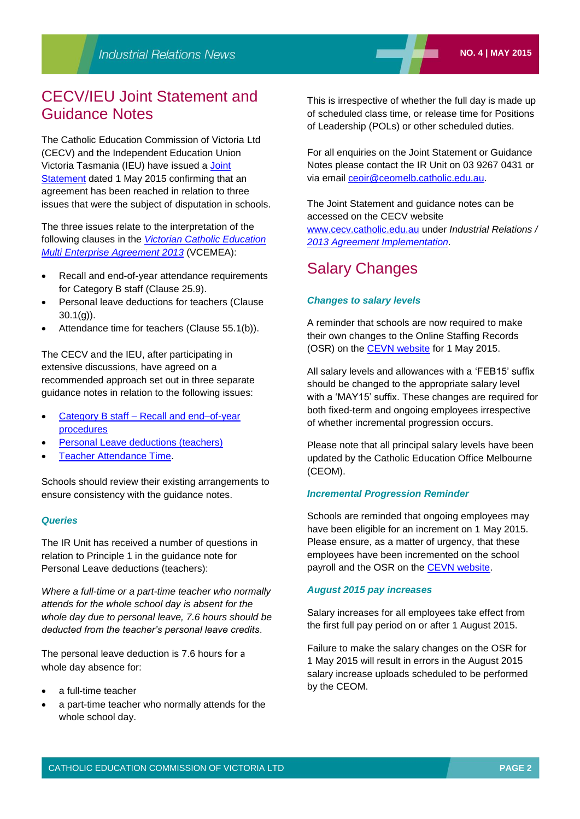## CECV/IEU Joint Statement and Guidance Notes

The Catholic Education Commission of Victoria Ltd (CECV) and the Independent Education Union Victoria Tasmania (IEU) have issued a [Joint](http://www.cecv.catholic.edu.au/vcsa/Implementation_Guidelines/Guidance%20Notes/Joint_Statement.pdf)  [Statement](http://www.cecv.catholic.edu.au/vcsa/Implementation_Guidelines/Guidance%20Notes/Joint_Statement.pdf) dated 1 May 2015 confirming that an agreement has been reached in relation to three issues that were the subject of disputation in schools.

The three issues relate to the interpretation of the following clauses in the *[Victorian Catholic Education](http://web.cecv.catholic.edu.au/vcsa/Agreement_2013/VCEMEA_2013.pdf)  [Multi Enterprise Agreement 2013](http://web.cecv.catholic.edu.au/vcsa/Agreement_2013/VCEMEA_2013.pdf)* (VCEMEA):

- Recall and end-of-year attendance requirements for Category B staff (Clause 25.9).
- Personal leave deductions for teachers (Clause 30.1(g)).
- Attendance time for teachers (Clause 55.1(b)).

The CECV and the IEU, after participating in extensive discussions, have agreed on a recommended approach set out in three separate guidance notes in relation to the following issues:

- Category B staff [Recall and end–of-year](http://www.cecv.catholic.edu.au/vcsa/Implementation_Guidelines/Guidance%20Notes/Guidance_Note_Category_B_Recall_End_of_Year_Procedures.pdf)  [procedures](http://www.cecv.catholic.edu.au/vcsa/Implementation_Guidelines/Guidance%20Notes/Guidance_Note_Category_B_Recall_End_of_Year_Procedures.pdf)
- [Personal Leave deductions \(teachers\)](http://www.cecv.catholic.edu.au/vcsa/Implementation_Guidelines/Guidance%20Notes/Guidance_Note_Personal_leave_deductions.pdf)
- [Teacher Attendance Time.](http://www.cecv.catholic.edu.au/vcsa/Implementation_Guidelines/Guidance%20Notes/Guidance_Note_Attendance_Time.pdf)

Schools should review their existing arrangements to ensure consistency with the guidance notes.

#### *Queries*

The IR Unit has received a number of questions in relation to Principle 1 in the guidance note for Personal Leave deductions (teachers):

*Where a full-time or a part-time teacher who normally attends for the whole school day is absent for the whole day due to personal leave, 7.6 hours should be deducted from the teacher's personal leave credits*.

The personal leave deduction is 7.6 hours for a whole day absence for:

- a full-time teacher
- a part-time teacher who normally attends for the whole school day.

This is irrespective of whether the full day is made up of scheduled class time, or release time for Positions of Leadership (POLs) or other scheduled duties.

For all enquiries on the Joint Statement or Guidance Notes please contact the IR Unit on 03 9267 0431 or via email [ceoir@ceomelb.catholic.edu.au.](mailto:ceoir@ceomelb.catholic.edu.au)

The Joint Statement and guidance notes can be accessed on the CECV website [www.cecv.catholic.edu.au](http://www.cecv.catholic.edu.au/) under *Industrial Relations / [2013 Agreement Implementation.](http://www.cecv.catholic.edu.au/vcsa/Implementation_Guidelines/implementation_guides.htm)*

## Salary Changes

#### *Changes to salary levels*

A reminder that schools are now required to make their own changes to the Online Staffing Records (OSR) on the [CEVN website](http://cevn.cecv.catholic.edu.au/) for 1 May 2015.

All salary levels and allowances with a 'FEB15' suffix should be changed to the appropriate salary level with a 'MAY15' suffix. These changes are required for both fixed-term and ongoing employees irrespective of whether incremental progression occurs.

Please note that all principal salary levels have been updated by the Catholic Education Office Melbourne (CEOM).

#### *Incremental Progression Reminder*

Schools are reminded that ongoing employees may have been eligible for an increment on 1 May 2015. Please ensure, as a matter of urgency, that these employees have been incremented on the school payroll and the OSR on the [CEVN website.](https://cevn.cecv.catholic.edu.au/)

#### *August 2015 pay increases*

Salary increases for all employees take effect from the first full pay period on or after 1 August 2015.

Failure to make the salary changes on the OSR for 1 May 2015 will result in errors in the August 2015 salary increase uploads scheduled to be performed by the CEOM.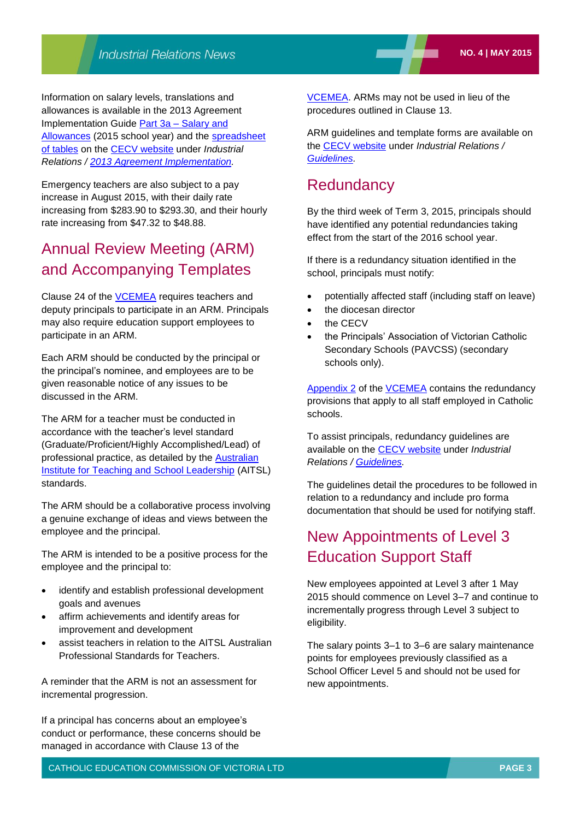Information on salary levels, translations and allowances is available in the 2013 Agreement Implementation Guide Part 3a – [Salary and](http://www.cecv.catholic.edu.au/vcsa/Implementation_Guidelines/Salary_Implementation/Part%203A.pdf)  [Allowances](http://www.cecv.catholic.edu.au/vcsa/Implementation_Guidelines/Salary_Implementation/Part%203A.pdf) (2015 school year) and the [spreadsheet](http://www.cecv.catholic.edu.au/vcsa/Implementation_Guidelines/Salary_Implementation/2014_Implementation_tables.xls)  [of tables](http://www.cecv.catholic.edu.au/vcsa/Implementation_Guidelines/Salary_Implementation/2014_Implementation_tables.xls) on the [CECV website](http://www.cecv.catholic.edu.au/) under *Industrial Relations / [2013 Agreement Implementation.](http://www.cecv.catholic.edu.au/vcsa/Implementation_Guidelines/implementation_guides.htm)*

Emergency teachers are also subject to a pay increase in August 2015, with their daily rate increasing from \$283.90 to \$293.30, and their hourly rate increasing from \$47.32 to \$48.88.

## Annual Review Meeting (ARM) and Accompanying Templates

Clause 24 of the [VCEMEA](http://web.cecv.catholic.edu.au/frameset.htm?page=industrial) requires teachers and deputy principals to participate in an ARM. Principals may also require education support employees to participate in an ARM.

Each ARM should be conducted by the principal or the principal's nominee, and employees are to be given reasonable notice of any issues to be discussed in the ARM.

The ARM for a teacher must be conducted in accordance with the teacher's level standard (Graduate/Proficient/Highly Accomplished/Lead) of professional practice, as detailed by the [Australian](http://www.aitsl.edu.au/australian-professional-standards-for-teachers)  [Institute for Teaching and School Leadership](http://www.aitsl.edu.au/australian-professional-standards-for-teachers) (AITSL) standards.

The ARM should be a collaborative process involving a genuine exchange of ideas and views between the employee and the principal.

The ARM is intended to be a positive process for the employee and the principal to:

- identify and establish professional development goals and avenues
- affirm achievements and identify areas for improvement and development
- assist teachers in relation to the AITSL Australian Professional Standards for Teachers.

A reminder that the ARM is not an assessment for incremental progression.

If a principal has concerns about an employee's conduct or performance, these concerns should be managed in accordance with Clause 13 of the

[VCEMEA.](http://web.cecv.catholic.edu.au/vcsa/Agreement_2013/VCEMEA_2013.pdf) ARMs may not be used in lieu of the procedures outlined in Clause 13.

ARM guidelines and template forms are available on the [CECV website](http://www.cecv.catholic.edu.au/) under *Industrial Relations / [Guidelines.](http://web.cecv.catholic.edu.au/vcsa/guidelines/guideindex.htm)*

## **Redundancy**

By the third week of Term 3, 2015, principals should have identified any potential redundancies taking effect from the start of the 2016 school year.

If there is a redundancy situation identified in the school, principals must notify:

- potentially affected staff (including staff on leave)
- the diocesan director
- the CECV
- the Principals' Association of Victorian Catholic Secondary Schools (PAVCSS) (secondary schools only).

[Appendix 2](http://web.cecv.catholic.edu.au/frameset.htm?page=industrial) of the [VCEMEA](http://web.cecv.catholic.edu.au/frameset.htm?page=industrial) contains the redundancy provisions that apply to all staff employed in Catholic schools.

To assist principals, redundancy guidelines are available on the [CECV website](http://www.cecv.catholic.edu.au/) under *Industrial Relations / [Guidelines.](http://web.cecv.catholic.edu.au/vcsa/guidelines/guideindex.htm)*

The guidelines detail the procedures to be followed in relation to a redundancy and include pro forma documentation that should be used for notifying staff.

## New Appointments of Level 3 Education Support Staff

New employees appointed at Level 3 after 1 May 2015 should commence on Level 3–7 and continue to incrementally progress through Level 3 subject to eligibility.

The salary points 3–1 to 3–6 are salary maintenance points for employees previously classified as a School Officer Level 5 and should not be used for new appointments.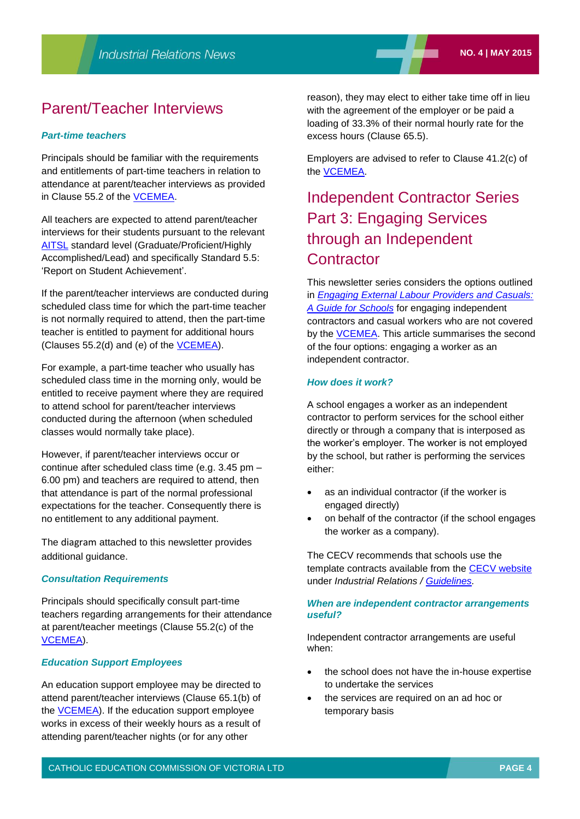## Parent/Teacher Interviews

#### *Part-time teachers*

Principals should be familiar with the requirements and entitlements of part-time teachers in relation to attendance at parent/teacher interviews as provided in Clause 55.2 of the [VCEMEA.](http://web.cecv.catholic.edu.au/frameset.htm?page=industrial)

All teachers are expected to attend parent/teacher interviews for their students pursuant to the relevant [AITSL](http://www.aitsl.edu.au/australian-professional-standards-for-teachers/standards/list) standard level (Graduate/Proficient/Highly Accomplished/Lead) and specifically Standard 5.5: 'Report on Student Achievement'.

If the parent/teacher interviews are conducted during scheduled class time for which the part-time teacher is not normally required to attend, then the part-time teacher is entitled to payment for additional hours (Clauses 55.2(d) and (e) of the [VCEMEA\)](http://web.cecv.catholic.edu.au/frameset.htm?page=industrial).

For example, a part-time teacher who usually has scheduled class time in the morning only, would be entitled to receive payment where they are required to attend school for parent/teacher interviews conducted during the afternoon (when scheduled classes would normally take place).

However, if parent/teacher interviews occur or continue after scheduled class time (e.g. 3.45 pm – 6.00 pm) and teachers are required to attend, then that attendance is part of the normal professional expectations for the teacher. Consequently there is no entitlement to any additional payment.

The diagram attached to this newsletter provides additional guidance.

#### *Consultation Requirements*

Principals should specifically consult part-time teachers regarding arrangements for their attendance at parent/teacher meetings (Clause 55.2(c) of the [VCEMEA\)](http://web.cecv.catholic.edu.au/vcsa/Agreement_2013/VCEMEA_2013.pdf).

#### *Education Support Employees*

An education support employee may be directed to attend parent/teacher interviews (Clause 65.1(b) of the [VCEMEA\)](http://web.cecv.catholic.edu.au/frameset.htm?page=industrial). If the education support employee works in excess of their weekly hours as a result of attending parent/teacher nights (or for any other

reason), they may elect to either take time off in lieu with the agreement of the employer or be paid a loading of 33.3% of their normal hourly rate for the excess hours (Clause 65.5).

Employers are advised to refer to Clause 41.2(c) of the [VCEMEA.](http://web.cecv.catholic.edu.au/vcsa/Agreement_2013/VCEMEA_2013.pdf)

## Independent Contractor Series Part 3: Engaging Services through an Independent **Contractor**

This newsletter series considers the options outlined in *[Engaging External Labour Providers and Casuals:](http://www.cecv.catholic.edu.au/vcsa/guidelines/independent_contractors/Engaging_External_Labour_Providers_and_Casuals.pdf)  [A Guide for Schools](http://www.cecv.catholic.edu.au/vcsa/guidelines/independent_contractors/Engaging_External_Labour_Providers_and_Casuals.pdf)* for engaging independent contractors and casual workers who are not covered by the [VCEMEA.](http://web.cecv.catholic.edu.au/frameset.htm?page=industrial) This article summarises the second of the four options: engaging a worker as an independent contractor.

#### *How does it work?*

A school engages a worker as an independent contractor to perform services for the school either directly or through a company that is interposed as the worker's employer. The worker is not employed by the school, but rather is performing the services either:

- as an individual contractor (if the worker is engaged directly)
- on behalf of the contractor (if the school engages the worker as a company).

The CECV recommends that schools use the template contracts available from the [CECV website](http://www.cecv.catholic.edu.au/) under *Industrial Relations / [Guidelines.](http://www.cecv.catholic.edu.au/vcsa/guidelines/guideindex.htm)*

#### *When are independent contractor arrangements useful?*

Independent contractor arrangements are useful when:

- the school does not have the in-house expertise to undertake the services
- the services are required on an ad hoc or temporary basis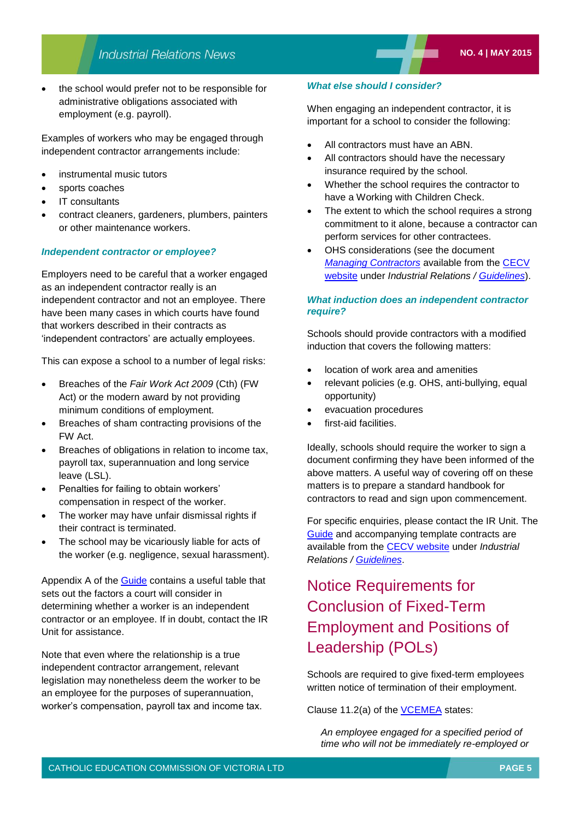the school would prefer not to be responsible for administrative obligations associated with employment (e.g. payroll).

Examples of workers who may be engaged through independent contractor arrangements include:

- instrumental music tutors
- sports coaches
- IT consultants
- contract cleaners, gardeners, plumbers, painters or other maintenance workers.

#### *Independent contractor or employee?*

Employers need to be careful that a worker engaged as an independent contractor really is an independent contractor and not an employee. There have been many cases in which courts have found that workers described in their contracts as 'independent contractors' are actually employees.

This can expose a school to a number of legal risks:

- Breaches of the *Fair Work Act 2009* (Cth) (FW Act) or the modern award by not providing minimum conditions of employment.
- Breaches of sham contracting provisions of the FW Act.
- Breaches of obligations in relation to income tax, payroll tax, superannuation and long service leave (LSL).
- Penalties for failing to obtain workers' compensation in respect of the worker.
- The worker may have unfair dismissal rights if their contract is terminated.
- The school may be vicariously liable for acts of the worker (e.g. negligence, sexual harassment).

Appendix A of the [Guide](http://www.cecv.catholic.edu.au/vcsa/guidelines/independent_contractors/Engaging_External_Labour_Providers_and_Casuals.pdf) contains a useful table that sets out the factors a court will consider in determining whether a worker is an independent contractor or an employee. If in doubt, contact the IR Unit for assistance.

Note that even where the relationship is a true independent contractor arrangement, relevant legislation may nonetheless deem the worker to be an employee for the purposes of superannuation, worker's compensation, payroll tax and income tax.

#### *What else should I consider?*

When engaging an independent contractor, it is important for a school to consider the following:

- All contractors must have an ABN.
- All contractors should have the necessary insurance required by the school.
- Whether the school requires the contractor to have a Working with Children Check.
- The extent to which the school requires a strong commitment to it alone, because a contractor can perform services for other contractees.
- OHS considerations (see the document *[Managing Contractors](http://www.cecv.catholic.edu.au/vcsa/ohands/documents/ManagingContractors.pdf)* available from the [CECV](http://www.cecv.catholic.edu.au/)  [website](http://www.cecv.catholic.edu.au/) under *Industrial Relations / [Guidelines](http://www.cecv.catholic.edu.au/vcsa/guidelines/guideindex.htm)*).

#### *What induction does an independent contractor require?*

Schools should provide contractors with a modified induction that covers the following matters:

- location of work area and amenities
- relevant policies (e.g. OHS, anti-bullying, equal opportunity)
- evacuation procedures
- first-aid facilities.

Ideally, schools should require the worker to sign a document confirming they have been informed of the above matters. A useful way of covering off on these matters is to prepare a standard handbook for contractors to read and sign upon commencement.

For specific enquiries, please contact the IR Unit. The [Guide](http://www.cecv.catholic.edu.au/vcsa/guidelines/independent_contractors/Engaging_External_Labour_Providers_and_Casuals.pdf) and accompanying template contracts are available from the [CECV website](http://www.cecv.catholic.edu.au/) under *Industrial Relations / [Guidelines](http://www.cecv.catholic.edu.au/vcsa/guidelines/guideindex.htm)*.

## Notice Requirements for Conclusion of Fixed-Term Employment and Positions of Leadership (POLs)

Schools are required to give fixed-term employees written notice of termination of their employment.

Clause 11.2(a) of the [VCEMEA](http://web.cecv.catholic.edu.au/frameset.htm?page=industrial) states:

*An employee engaged for a specified period of time who will not be immediately re-employed or*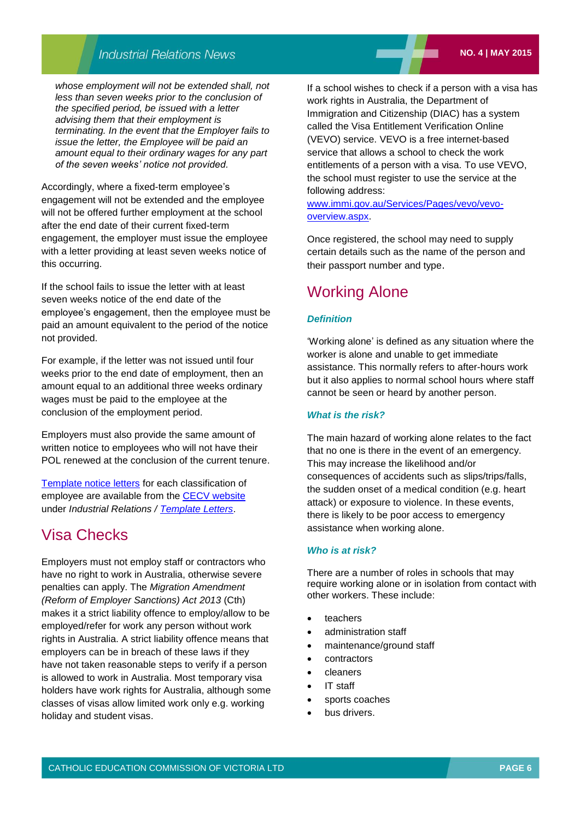## **Industrial Relations News**

*whose employment will not be extended shall, not less than seven weeks prior to the conclusion of the specified period, be issued with a letter advising them that their employment is terminating. In the event that the Employer fails to issue the letter, the Employee will be paid an amount equal to their ordinary wages for any part of the seven weeks' notice not provided.*

Accordingly, where a fixed-term employee's engagement will not be extended and the employee will not be offered further employment at the school after the end date of their current fixed-term engagement, the employer must issue the employee with a letter providing at least seven weeks notice of this occurring.

If the school fails to issue the letter with at least seven weeks notice of the end date of the employee's engagement, then the employee must be paid an amount equivalent to the period of the notice not provided.

For example, if the letter was not issued until four weeks prior to the end date of employment, then an amount equal to an additional three weeks ordinary wages must be paid to the employee at the conclusion of the employment period.

Employers must also provide the same amount of written notice to employees who will not have their POL renewed at the conclusion of the current tenure.

[Template notice letters](http://web.cecv.catholic.edu.au/vcsa/lettersofappointment/instructions.html) for each classification of employee are available from the [CECV website](http://www.cecv.catholic.edu.au/) under *Industrial Relations / [Template Letters](http://www.cecv.catholic.edu.au/vcsa/lettersofappointment/appoint.htm)*.

## Visa Checks

Employers must not employ staff or contractors who have no right to work in Australia, otherwise severe penalties can apply. The *Migration Amendment (Reform of Employer Sanctions) Act 2013* (Cth) makes it a strict liability offence to employ/allow to be employed/refer for work any person without work rights in Australia. A strict liability offence means that employers can be in breach of these laws if they have not taken reasonable steps to verify if a person is allowed to work in Australia. Most temporary visa holders have work rights for Australia, although some classes of visas allow limited work only e.g. working holiday and student visas.

If a school wishes to check if a person with a visa has work rights in Australia, the Department of Immigration and Citizenship (DIAC) has a system called the Visa Entitlement Verification Online (VEVO) service. VEVO is a free internet-based service that allows a school to check the work entitlements of a person with a visa. To use VEVO, the school must register to use the service at the following address:

[www.immi.gov.au/Services/Pages/vevo/vevo](http://www.immi.gov.au/Services/Pages/vevo/vevo-overview.aspx)[overview.aspx.](http://www.immi.gov.au/Services/Pages/vevo/vevo-overview.aspx)

Once registered, the school may need to supply certain details such as the name of the person and their passport number and type.

## Working Alone

#### *Definition*

'Working alone' is defined as any situation where the worker is alone and unable to get immediate assistance. This normally refers to after-hours work but it also applies to normal school hours where staff cannot be seen or heard by another person.

#### *What is the risk?*

The main hazard of working alone relates to the fact that no one is there in the event of an emergency. This may increase the likelihood and/or consequences of accidents such as slips/trips/falls, the sudden onset of a medical condition (e.g. heart attack) or exposure to violence. In these events, there is likely to be poor access to emergency assistance when working alone.

#### *Who is at risk?*

There are a number of roles in schools that may require working alone or in isolation from contact with other workers. These include:

- teachers
- administration staff
- maintenance/ground staff
- contractors
- cleaners
- IT staff
- sports coaches
- bus drivers.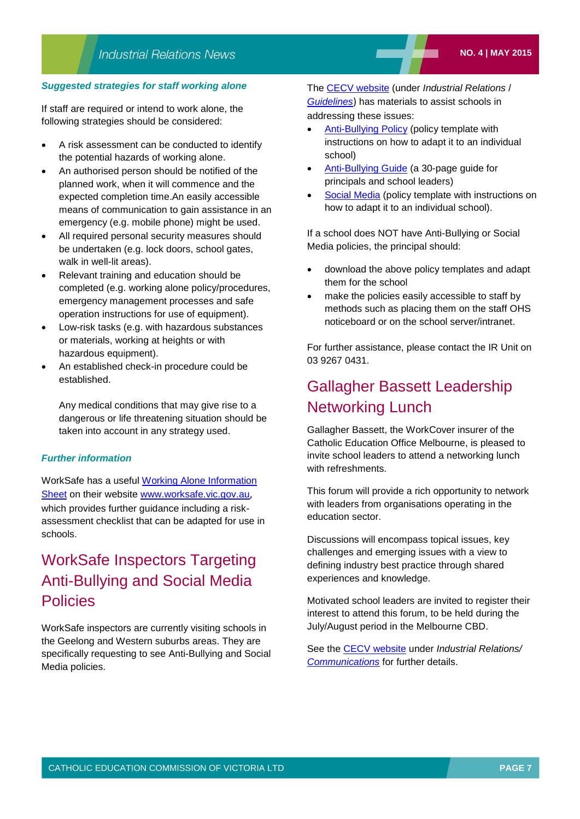#### *Suggested strategies for staff working alone*

If staff are required or intend to work alone, the following strategies should be considered:

- A risk assessment can be conducted to identify the potential hazards of working alone.
- An authorised person should be notified of the planned work, when it will commence and the expected completion time.An easily accessible means of communication to gain assistance in an emergency (e.g. mobile phone) might be used.
- All required personal security measures should be undertaken (e.g. lock doors, school gates, walk in well-lit areas).
- Relevant training and education should be completed (e.g. working alone policy/procedures, emergency management processes and safe operation instructions for use of equipment).
- Low-risk tasks (e.g. with hazardous substances or materials, working at heights or with hazardous equipment).
- An established check-in procedure could be established.

Any medical conditions that may give rise to a dangerous or life threatening situation should be taken into account in any strategy used.

#### *Further information*

WorkSafe has a useful [Working Alone Information](http://www.worksafe.vic.gov.au/__data/assets/pdf_file/0006/9555/WS_MIA_WORKING_ALONE_WEB.pdf)  [Sheet](http://www.worksafe.vic.gov.au/__data/assets/pdf_file/0006/9555/WS_MIA_WORKING_ALONE_WEB.pdf) on their website [www.worksafe.vic.gov.au](http://www.worksafe.vic.gov.au/), which provides further quidance including a riskassessment checklist that can be adapted for use in schools.

## WorkSafe Inspectors Targeting Anti-Bullying and Social Media **Policies**

WorkSafe inspectors are currently visiting schools in the Geelong and Western suburbs areas. They are specifically requesting to see Anti-Bullying and Social Media policies.

The [CECV website](http://www.cecv.catholic.edu.au/) (under *Industrial Relations* / *[Guidelines](http://www.cecv.catholic.edu.au/vcsa/guidelines/guideindex.htm)*) has materials to assist schools in addressing these issues:

- [Anti-Bullying Policy](http://www.cecv.catholic.edu.au/vcsa/guidelines/Anti_Bullying_Policy.doc) (policy template with instructions on how to adapt it to an individual school)
- [Anti-Bullying Guide](http://www.cecv.catholic.edu.au/vcsa/guidelines/Anti_Bullying_Guide.pdf) (a 30-page guide for principals and school leaders)
- [Social Media](http://www.cecv.catholic.edu.au/vcsa/guidelines/Template_Social_Media_Policy.doc) (policy template with instructions on how to adapt it to an individual school).

If a school does NOT have Anti-Bullying or Social Media policies, the principal should:

- download the above policy templates and adapt them for the school
- make the policies easily accessible to staff by methods such as placing them on the staff OHS noticeboard or on the school server/intranet.

For further assistance, please contact the IR Unit on 03 9267 0431.

## Gallagher Bassett Leadership Networking Lunch

Gallagher Bassett, the WorkCover insurer of the Catholic Education Office Melbourne, is pleased to invite school leaders to attend a networking lunch with refreshments.

This forum will provide a rich opportunity to network with leaders from organisations operating in the education sector.

Discussions will encompass topical issues, key challenges and emerging issues with a view to defining industry best practice through shared experiences and knowledge.

Motivated school leaders are invited to register their interest to attend this forum, to be held during the July/August period in the Melbourne CBD.

See the [CECV website](http://web.cecv.catholic.edu.au/frameset.htm?page=industrial) under *Industrial Relations/ [Communications](http://www.cecv.catholic.edu.au/vcsa/communications/commsindex.htm)* for further details.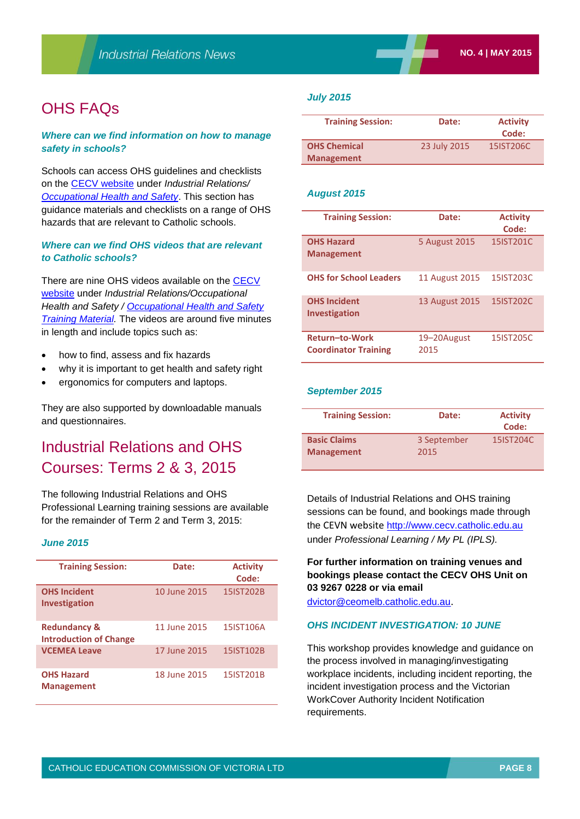## OHS FAQs

#### *Where can we find information on how to manage safety in schools?*

Schools can access OHS guidelines and checklists on the [CECV website](http://web.cecv.catholic.edu.au/frameset.htm?page=industrial) under *Industrial Relations/ [Occupational Health and Safety](http://www.cecv.catholic.edu.au/vcsa/ohands/ohsindex.htm)*. This section has guidance materials and checklists on a range of OHS hazards that are relevant to Catholic schools.

#### *Where can we find OHS videos that are relevant to Catholic schools?*

There are nine OHS videos available on the [CECV](http://web.cecv.catholic.edu.au/frameset.htm?page=industrial)  [website](http://web.cecv.catholic.edu.au/frameset.htm?page=industrial) under *Industrial Relations/Occupational Health and Safety / [Occupational Health and Safety](http://www.cecv.catholic.edu.au/vcsa/ohands/ohs_in_schools.html)  [Training Material.](http://www.cecv.catholic.edu.au/vcsa/ohands/ohs_in_schools.html)* The videos are around five minutes in length and include topics such as:

- how to find, assess and fix hazards
- why it is important to get health and safety right
- ergonomics for computers and laptops.

They are also supported by downloadable manuals and questionnaires.

## Industrial Relations and OHS Courses: Terms 2 & 3, 2015

The following Industrial Relations and OHS Professional Learning training sessions are available for the remainder of Term 2 and Term 3, 2015:

#### *June 2015*

| <b>Training Session:</b>                                 | Date:        | <b>Activity</b><br>Code: |
|----------------------------------------------------------|--------------|--------------------------|
| <b>OHS Incident</b><br><b>Investigation</b>              | 10 June 2015 | 15IST202B                |
| <b>Redundancy &amp;</b><br><b>Introduction of Change</b> | 11 June 2015 | 15IST106A                |
| <b>VCEMEA Leave</b>                                      | 17 June 2015 | 15IST102B                |
| <b>OHS Hazard</b><br><b>Management</b>                   | 18 June 2015 | 15IST201B                |

#### *July 2015*

| <b>Training Session:</b>                 | Date:        | <b>Activity</b><br>Code: |
|------------------------------------------|--------------|--------------------------|
| <b>OHS Chemical</b><br><b>Management</b> | 23 July 2015 | 15IST206C                |

#### *August 2015*

| <b>Training Session:</b>                      | Date:                 | <b>Activity</b><br>Code: |
|-----------------------------------------------|-----------------------|--------------------------|
| <b>OHS Hazard</b><br><b>Management</b>        | 5 August 2015         | 15IST201C                |
| <b>OHS for School Leaders</b>                 | <b>11 August 2015</b> | 15IST203C                |
| <b>OHS Incident</b><br><b>Investigation</b>   | <b>13 August 2015</b> | 15IST202C                |
| Return-to-Work<br><b>Coordinator Training</b> | 19–20August<br>2015   | 15IST205C                |

#### *September 2015*

| <b>Training Session:</b> | Date:       | <b>Activity</b><br>Code: |
|--------------------------|-------------|--------------------------|
| <b>Basic Claims</b>      | 3 September | 15IST204C                |
| <b>Management</b>        | 2015        |                          |

Details of Industrial Relations and OHS training sessions can be found, and bookings made through the CEVN website [http://www.cecv.catholic.edu.au](http://www.cecv.catholic.edu.au/) under *Professional Learning / My PL (IPLS).*

#### **For further information on training venues and bookings please contact the CECV OHS Unit on 03 9267 0228 or via email**

[dvictor@ceomelb.catholic.edu.au](mailto:dvictor@ceomelb.catholic.edu.au).

#### *OHS INCIDENT INVESTIGATION: 10 JUNE*

This workshop provides knowledge and guidance on the process involved in managing/investigating workplace incidents, including incident reporting, the incident investigation process and the Victorian WorkCover Authority Incident Notification requirements.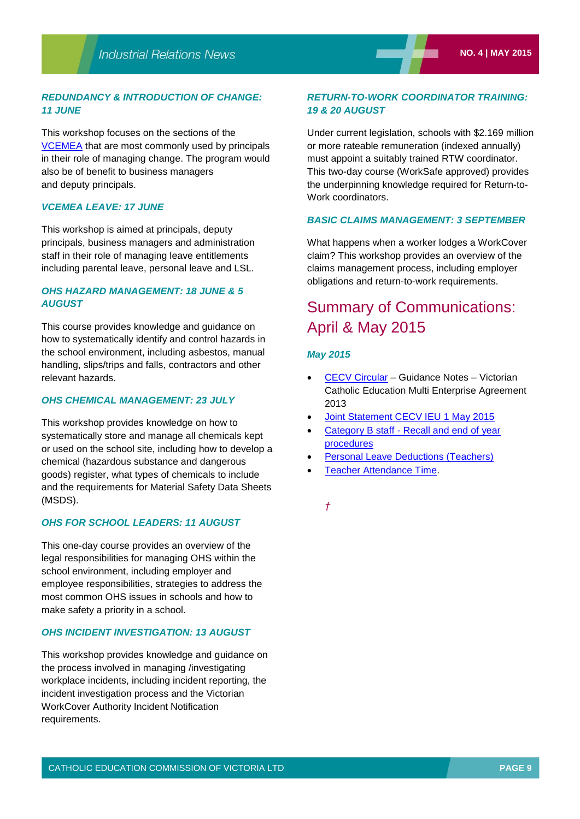#### *REDUNDANCY & INTRODUCTION OF CHANGE: 11 JUNE*

This workshop focuses on the sections of the [VCEMEA](http://web.cecv.catholic.edu.au/frameset.htm?page=industrial) that are most commonly used by principals in their role of managing change. The program would also be of benefit to business managers and deputy principals.

#### *VCEMEA LEAVE: 17 JUNE*

This workshop is aimed at principals, deputy principals, business managers and administration staff in their role of managing leave entitlements including parental leave, personal leave and LSL.

#### *OHS HAZARD MANAGEMENT: 18 JUNE & 5 AUGUST*

This course provides knowledge and guidance on how to systematically identify and control hazards in the school environment, including asbestos, manual handling, slips/trips and falls, contractors and other relevant hazards.

#### *OHS CHEMICAL MANAGEMENT: 23 JULY*

This workshop provides knowledge on how to systematically store and manage all chemicals kept or used on the school site, including how to develop a chemical (hazardous substance and dangerous goods) register, what types of chemicals to include and the requirements for Material Safety Data Sheets (MSDS).

#### *OHS FOR SCHOOL LEADERS: 11 AUGUST*

This one-day course provides an overview of the legal responsibilities for managing OHS within the school environment, including employer and employee responsibilities, strategies to address the most common OHS issues in schools and how to make safety a priority in a school.

#### *OHS INCIDENT INVESTIGATION: 13 AUGUST*

This workshop provides knowledge and guidance on the process involved in managing /investigating workplace incidents, including incident reporting, the incident investigation process and the Victorian WorkCover Authority Incident Notification requirements.

#### *RETURN-TO-WORK COORDINATOR TRAINING: 19 & 20 AUGUST*

Under current legislation, schools with \$2.169 million or more rateable remuneration (indexed annually) must appoint a suitably trained RTW coordinator. This two-day course (WorkSafe approved) provides the underpinning knowledge required for Return-to-Work coordinators.

#### *BASIC CLAIMS MANAGEMENT: 3 SEPTEMBER*

What happens when a worker lodges a WorkCover claim? This workshop provides an overview of the claims management process, including employer obligations and return-to-work requirements.

## Summary of Communications: April & May 2015

#### *May 2015*

- [CECV Circular](http://www.cecv.catholic.edu.au/vcsa/communications/CECV_Guidance_Notes%20–%20__VCEMEA_2013__%5b1%5d.pdf) Guidance Notes Victorian Catholic Education Multi Enterprise Agreement 2013
- [Joint Statement CECV IEU 1 May 2015](http://www.cecv.catholic.edu.au/vcsa/Implementation_Guidelines/Guidance%20Notes/Joint_Statement.pdf)
- Category B staff [Recall and end of year](http://www.cecv.catholic.edu.au/vcsa/Implementation_Guidelines/Guidance%20Notes/Guidance_Note_Category_B_Recall_End_of_Year_Procedures.pdf)  [procedures](http://www.cecv.catholic.edu.au/vcsa/Implementation_Guidelines/Guidance%20Notes/Guidance_Note_Category_B_Recall_End_of_Year_Procedures.pdf)
- [Personal Leave Deductions \(Teachers\)](http://www.cecv.catholic.edu.au/vcsa/Implementation_Guidelines/Guidance%20Notes/Guidance_Note_Personal_leave_deductions.pdf)
- [Teacher Attendance Time.](http://www.cecv.catholic.edu.au/vcsa/Implementation_Guidelines/Guidance%20Notes/Guidance_Note_Attendance_Time.pdf)

*†*